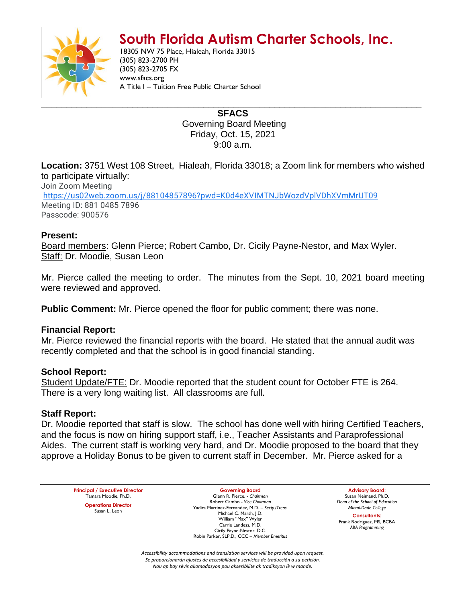# **South Florida Autism Charter Schools, Inc.**



18305 NW 75 Place, Hialeah, Florida 33015 (305) 823-2700 PH (305) 823-2705 FX www.sfacs.org A Title I – Tuition Free Public Charter School

> **SFACS** Governing Board Meeting Friday, Oct. 15, 2021 9:00 a.m.

**Location:** 3751 West 108 Street, Hialeah, Florida 33018; a Zoom link for members who wished to participate virtually:

Join Zoom Meeting [https://us02web.zoom.us/j/88104857896?pwd=K0d4eXVIMTNJbWozdVplVDhXVmMrUT09](https://www.google.com/url?q=https://us02web.zoom.us/j/88104857896?pwd%3DK0d4eXVIMTNJbWozdVplVDhXVmMrUT09&sa=D&source=calendar&ust=1635523018363901&usg=AOvVaw3kYFu57B_7GsdDvOWtGOnd) Meeting ID: 881 0485 7896 Passcode: 900576

#### **Present:**

Board members: Glenn Pierce; Robert Cambo, Dr. Cicily Payne-Nestor, and Max Wyler. Staff: Dr. Moodie, Susan Leon

Mr. Pierce called the meeting to order. The minutes from the Sept. 10, 2021 board meeting were reviewed and approved.

**Public Comment:** Mr. Pierce opened the floor for public comment; there was none.

### **Financial Report:**

Mr. Pierce reviewed the financial reports with the board. He stated that the annual audit was recently completed and that the school is in good financial standing.

### **School Report:**

Student Update/FTE: Dr. Moodie reported that the student count for October FTE is 264. There is a very long waiting list. All classrooms are full.

### **Staff Report:**

Dr. Moodie reported that staff is slow. The school has done well with hiring Certified Teachers, and the focus is now on hiring support staff, i.e., Teacher Assistants and Paraprofessional Aides. The current staff is working very hard, and Dr. Moodie proposed to the board that they approve a Holiday Bonus to be given to current staff in December. Mr. Pierce asked for a

**Principal / Executive Director** Tamara Moodie, Ph.D. **Operations Director** Susan L. Leon

**Governing Board** Glenn R. Pierce. - *Chairman* Robert Cambo - *Vice Chairman* Yadira Martinez-Fernandez, M.D. – *Secty./Treas.* Michael C. Marsh, J.D. William "Max" Wyler Carrie Landess, M.D. Cicily Payne-Nestor, D.C. Robin Parker, SLP.D., CCC – *Member Emeritus*

**Advisory Board:** Susan Neimand, Ph.D. *Dean of the School of Education Miami-Dade College*

**Consultants:** Frank Rodriguez, MS, BCBA *ABA Programming*

*Accessibility accommodations and translation services will be provided upon request. Se proporcionarán ajustes de accesibilidad y servicios de traducción a su petición. Nou ap bay sèvis akomodasyon pou aksesibilite ak tradiksyon lè w mande.*